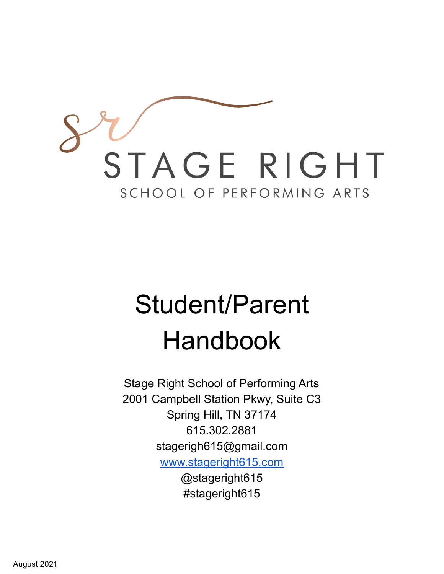

# Student/Parent Handbook

Stage Right School of Performing Arts 2001 Campbell Station Pkwy, Suite C3 Spring Hill, TN 37174 615.302.2881 stagerigh615@gmail.com [www.stageright615.com](http://www.stageright615.com) @stageright615 #stageright615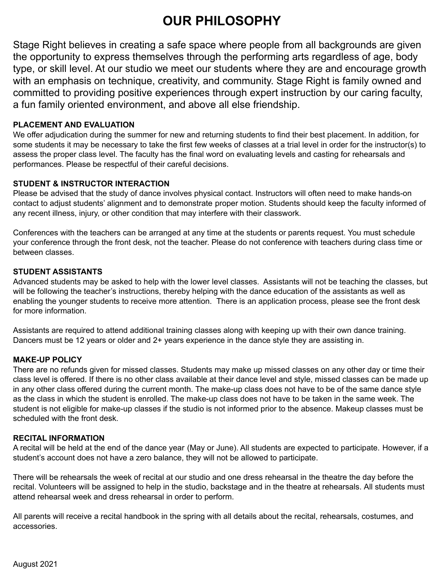# **OUR PHILOSOPHY**

Stage Right believes in creating a safe space where people from all backgrounds are given the opportunity to express themselves through the performing arts regardless of age, body type, or skill level. At our studio we meet our students where they are and encourage growth with an emphasis on technique, creativity, and community. Stage Right is family owned and committed to providing positive experiences through expert instruction by our caring faculty, a fun family oriented environment, and above all else friendship.

#### **PLACEMENT AND EVALUATION**

We offer adjudication during the summer for new and returning students to find their best placement. In addition, for some students it may be necessary to take the first few weeks of classes at a trial level in order for the instructor(s) to assess the proper class level. The faculty has the final word on evaluating levels and casting for rehearsals and performances. Please be respectful of their careful decisions.

#### **STUDENT & INSTRUCTOR INTERACTION**

Please be advised that the study of dance involves physical contact. Instructors will often need to make hands-on contact to adjust students' alignment and to demonstrate proper motion. Students should keep the faculty informed of any recent illness, injury, or other condition that may interfere with their classwork.

Conferences with the teachers can be arranged at any time at the students or parents request. You must schedule your conference through the front desk, not the teacher. Please do not conference with teachers during class time or between classes.

#### **STUDENT ASSISTANTS**

Advanced students may be asked to help with the lower level classes. Assistants will not be teaching the classes, but will be following the teacher's instructions, thereby helping with the dance education of the assistants as well as enabling the younger students to receive more attention. There is an application process, please see the front desk for more information.

Assistants are required to attend additional training classes along with keeping up with their own dance training. Dancers must be 12 years or older and 2+ years experience in the dance style they are assisting in.

#### **MAKE-UP POLICY**

There are no refunds given for missed classes. Students may make up missed classes on any other day or time their class level is offered. If there is no other class available at their dance level and style, missed classes can be made up in any other class offered during the current month. The make-up class does not have to be of the same dance style as the class in which the student is enrolled. The make-up class does not have to be taken in the same week. The student is not eligible for make-up classes if the studio is not informed prior to the absence. Makeup classes must be scheduled with the front desk.

#### **RECITAL INFORMATION**

A recital will be held at the end of the dance year (May or June). All students are expected to participate. However, if a student's account does not have a zero balance, they will not be allowed to participate.

There will be rehearsals the week of recital at our studio and one dress rehearsal in the theatre the day before the recital. Volunteers will be assigned to help in the studio, backstage and in the theatre at rehearsals. All students must attend rehearsal week and dress rehearsal in order to perform.

All parents will receive a recital handbook in the spring with all details about the recital, rehearsals, costumes, and accessories.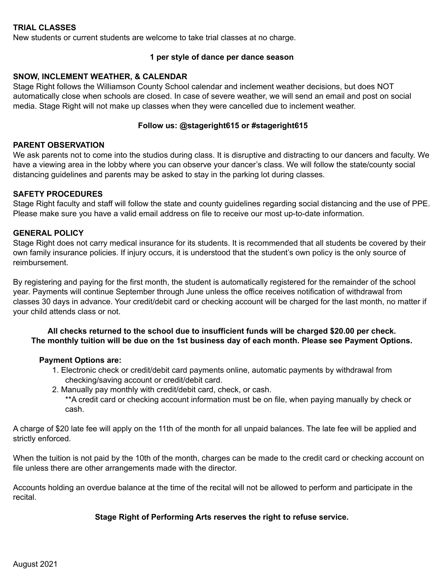#### **TRIAL CLASSES**

New students or current students are welcome to take trial classes at no charge.

#### **1 per style of dance per dance season**

#### **SNOW, INCLEMENT WEATHER, & CALENDAR**

Stage Right follows the Williamson County School calendar and inclement weather decisions, but does NOT automatically close when schools are closed. In case of severe weather, we will send an email and post on social media. Stage Right will not make up classes when they were cancelled due to inclement weather.

#### **Follow us: @stageright615 or #stageright615**

#### **PARENT OBSERVATION**

We ask parents not to come into the studios during class. It is disruptive and distracting to our dancers and faculty. We have a viewing area in the lobby where you can observe your dancer's class. We will follow the state/county social distancing guidelines and parents may be asked to stay in the parking lot during classes.

#### **SAFETY PROCEDURES**

Stage Right faculty and staff will follow the state and county guidelines regarding social distancing and the use of PPE. Please make sure you have a valid email address on file to receive our most up-to-date information.

#### **GENERAL POLICY**

Stage Right does not carry medical insurance for its students. It is recommended that all students be covered by their own family insurance policies. If injury occurs, it is understood that the student's own policy is the only source of reimbursement.

By registering and paying for the first month, the student is automatically registered for the remainder of the school year. Payments will continue September through June unless the office receives notification of withdrawal from classes 30 days in advance. Your credit/debit card or checking account will be charged for the last month, no matter if your child attends class or not.

#### **All checks returned to the school due to insufficient funds will be charged \$20.00 per check. The monthly tuition will be due on the 1st business day of each month. Please see Payment Options.**

#### **Payment Options are:**

- 1. Electronic check or credit/debit card payments online, automatic payments by withdrawal from checking/saving account or credit/debit card.
- 2. Manually pay monthly with credit/debit card, check, or cash.

\*\*A credit card or checking account information must be on file, when paying manually by check or cash.

A charge of \$20 late fee will apply on the 11th of the month for all unpaid balances. The late fee will be applied and strictly enforced.

When the tuition is not paid by the 10th of the month, charges can be made to the credit card or checking account on file unless there are other arrangements made with the director.

Accounts holding an overdue balance at the time of the recital will not be allowed to perform and participate in the recital.

#### **Stage Right of Performing Arts reserves the right to refuse service.**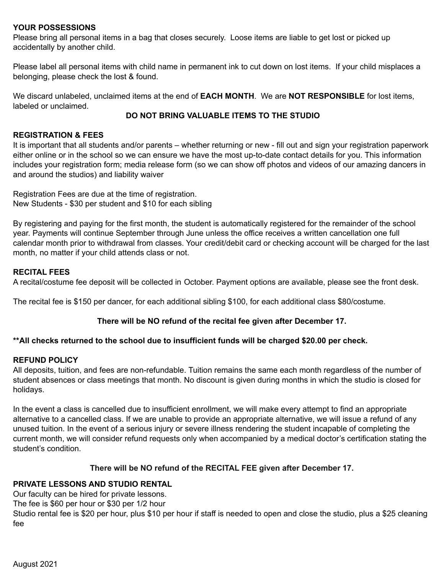#### **YOUR POSSESSIONS**

Please bring all personal items in a bag that closes securely. Loose items are liable to get lost or picked up accidentally by another child.

Please label all personal items with child name in permanent ink to cut down on lost items. If your child misplaces a belonging, please check the lost & found.

We discard unlabeled, unclaimed items at the end of **EACH MONTH**. We are **NOT RESPONSIBLE** for lost items, labeled or unclaimed.

#### **DO NOT BRING VALUABLE ITEMS TO THE STUDIO**

#### **REGISTRATION & FEES**

It is important that all students and/or parents – whether returning or new - fill out and sign your registration paperwork either online or in the school so we can ensure we have the most up-to-date contact details for you. This information includes your registration form; media release form (so we can show off photos and videos of our amazing dancers in and around the studios) and liability waiver

Registration Fees are due at the time of registration. New Students - \$30 per student and \$10 for each sibling

By registering and paying for the first month, the student is automatically registered for the remainder of the school year. Payments will continue September through June unless the office receives a written cancellation one full calendar month prior to withdrawal from classes. Your credit/debit card or checking account will be charged for the last month, no matter if your child attends class or not.

#### **RECITAL FEES**

A recital/costume fee deposit will be collected in October. Payment options are available, please see the front desk.

The recital fee is \$150 per dancer, for each additional sibling \$100, for each additional class \$80/costume.

#### **There will be NO refund of the recital fee given after December 17.**

#### **\*\*All checks returned to the school due to insufficient funds will be charged \$20.00 per check.**

#### **REFUND POLICY**

All deposits, tuition, and fees are non-refundable. Tuition remains the same each month regardless of the number of student absences or class meetings that month. No discount is given during months in which the studio is closed for holidays.

In the event a class is cancelled due to insufficient enrollment, we will make every attempt to find an appropriate alternative to a cancelled class. If we are unable to provide an appropriate alternative, we will issue a refund of any unused tuition. In the event of a serious injury or severe illness rendering the student incapable of completing the current month, we will consider refund requests only when accompanied by a medical doctor's certification stating the student's condition.

#### **There will be NO refund of the RECITAL FEE given after December 17.**

#### **PRIVATE LESSONS AND STUDIO RENTAL**

Our faculty can be hired for private lessons.

The fee is \$60 per hour or \$30 per 1/2 hour

Studio rental fee is \$20 per hour, plus \$10 per hour if staff is needed to open and close the studio, plus a \$25 cleaning fee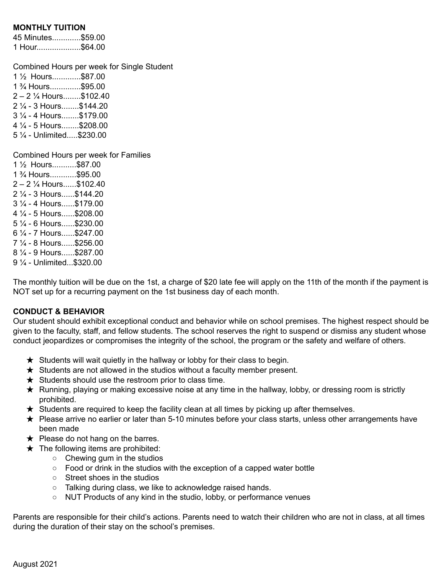#### **MONTHLY TUITION**

45 Minutes.............\$59.00 1 Hour....................\$64.00

Combined Hours per week for Single Student ½ Hours.............\$87.00 ¾ Hours..............\$95.00 – 2 ¼ Hours........\$102.40 ¼ - 3 Hours........\$144.20 ¼ - 4 Hours........\$179.00 ¼ - 5 Hours........\$208.00 ¼ - Unlimited.....\$230.00 Combined Hours per week for Families ½ Hours...........\$87.00 ¾ Hours............\$95.00 – 2 ¼ Hours......\$102.40

 ¼ - 3 Hours......\$144.20 ¼ - 4 Hours......\$179.00 ¼ - 5 Hours......\$208.00 ¼ - 6 Hours......\$230.00 ¼ - 7 Hours......\$247.00 ¼ - 8 Hours......\$256.00 ¼ - 9 Hours......\$287.00 ¼ - Unlimited...\$320.00

The monthly tuition will be due on the 1st, a charge of \$20 late fee will apply on the 11th of the month if the payment is NOT set up for a recurring payment on the 1st business day of each month.

#### **CONDUCT & BEHAVIOR**

Our student should exhibit exceptional conduct and behavior while on school premises. The highest respect should be given to the faculty, staff, and fellow students. The school reserves the right to suspend or dismiss any student whose conduct jeopardizes or compromises the integrity of the school, the program or the safety and welfare of others.

- $\star$  Students will wait quietly in the hallway or lobby for their class to begin.
- $\star$  Students are not allowed in the studios without a faculty member present.
- $\star$  Students should use the restroom prior to class time.
- ★ Running, playing or making excessive noise at any time in the hallway, lobby, or dressing room is strictly prohibited.
- $\star$  Students are required to keep the facility clean at all times by picking up after themselves.
- ★ Please arrive no earlier or later than 5-10 minutes before your class starts, unless other arrangements have been made
- $\star$  Please do not hang on the barres.
- $\star$  The following items are prohibited:
	- Chewing gum in the studios
	- Food or drink in the studios with the exception of a capped water bottle
	- Street shoes in the studios
	- Talking during class, we like to acknowledge raised hands.
	- NUT Products of any kind in the studio, lobby, or performance venues

Parents are responsible for their child's actions. Parents need to watch their children who are not in class, at all times during the duration of their stay on the school's premises.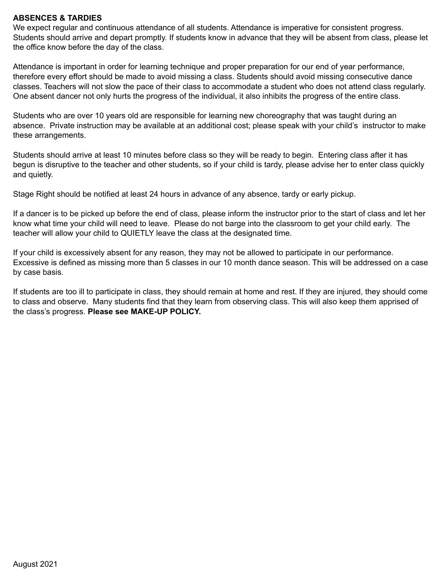#### **ABSENCES & TARDIES**

We expect regular and continuous attendance of all students. Attendance is imperative for consistent progress. Students should arrive and depart promptly. If students know in advance that they will be absent from class, please let the office know before the day of the class.

Attendance is important in order for learning technique and proper preparation for our end of year performance, therefore every effort should be made to avoid missing a class. Students should avoid missing consecutive dance classes. Teachers will not slow the pace of their class to accommodate a student who does not attend class regularly. One absent dancer not only hurts the progress of the individual, it also inhibits the progress of the entire class.

Students who are over 10 years old are responsible for learning new choreography that was taught during an absence. Private instruction may be available at an additional cost; please speak with your child's instructor to make these arrangements.

Students should arrive at least 10 minutes before class so they will be ready to begin. Entering class after it has begun is disruptive to the teacher and other students, so if your child is tardy, please advise her to enter class quickly and quietly.

Stage Right should be notified at least 24 hours in advance of any absence, tardy or early pickup.

If a dancer is to be picked up before the end of class, please inform the instructor prior to the start of class and let her know what time your child will need to leave. Please do not barge into the classroom to get your child early. The teacher will allow your child to QUIETLY leave the class at the designated time.

If your child is excessively absent for any reason, they may not be allowed to participate in our performance. Excessive is defined as missing more than 5 classes in our 10 month dance season. This will be addressed on a case by case basis.

If students are too ill to participate in class, they should remain at home and rest. If they are injured, they should come to class and observe. Many students find that they learn from observing class. This will also keep them apprised of the class's progress. **Please see MAKE-UP POLICY.**